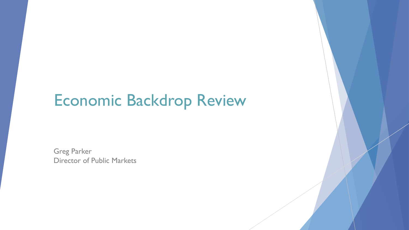## Economic Backdrop Review

 Director of Public Markets Greg Parker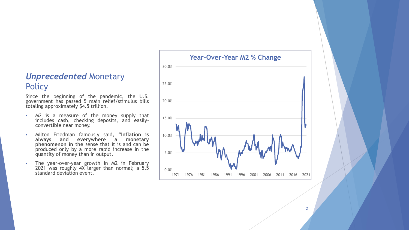### *Unprecedented* Monetary **Policy**

Since the beginning of the pandemic, the U.S. government has passed 5 main relief/stimulus bills totaling approximately \$4.5 trillion.

- M2 is a measure of the money supply that includes cash, checking deposits, and easily- convertible near money.
- Milton Friedman famously said, "**Inflation is always and everywhere a monetary phenomenon in the** sense that it is and can be produced only by a more rapid increase in the quantity of money than in output.
- The year-over-year growth in M2 in February 2021 was roughly 4X larger than normal; a 5.5 standard deviation event.

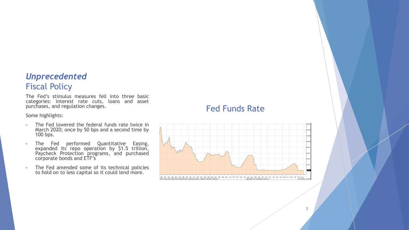### *Unprecedented*  Fiscal Policy

The Fed's stimulus measures fell into three basic categories: interest rate cuts, loans and asset purchases, and regulation changes.

Some highlights:

- The Fed lowered the federal funds rate twice in March 2020; once by 50 bps and a second time by 100 bps.
- The Fed performed Quantitative Easing, expanded its repo operation by \$1.5 trillion, Paycheck Protection programs, and purchased corporate bonds and ETF's
- The Fed amended some of its technical policies to hold on to less capital so it could lend more.

### Fed Funds Rate

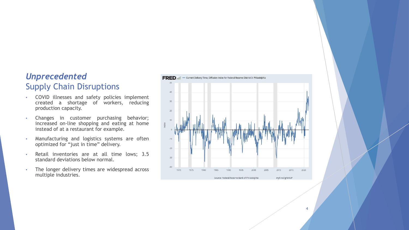### *Unprecedented*  Supply Chain Disruptions

- COVID illnesses and safety policies implement created a shortage of workers, reducing production capacity.
- Changes in customer purchasing behavior; increased on-line shopping and eating at home instead of at a restaurant for example.
- Manufacturing and logistics systems are often optimized for "just in time" delivery.
- Retail inventories are at all time lows; 3.5 standard deviations below normal.
- The longer delivery times are widespread across multiple industries.



4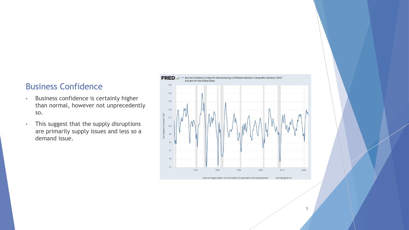#### Business Confidence

- • Business confidence is certainly higher than normal, however not unprecedently so.
- • This suggest that the supply disruptions are primarily supply issues and less so a demand issue.

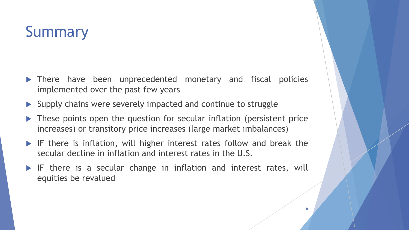# **Summary**

- There have been unprecedented monetary and fiscal policies implemented over the past few years
- $\blacktriangleright$  Supply chains were severely impacted and continue to struggle
- **These points open the question for secular inflation (persistent price)** increases) or transitory price increases (large market imbalances)
- IF there is inflation, will higher interest rates follow and break the secular decline in inflation and interest rates in the U.S.
- IF there is a secular change in inflation and interest rates, will equities be revalued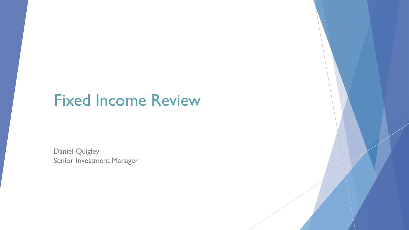### Fixed Income Review

Daniel Quigley Senior Investment Manager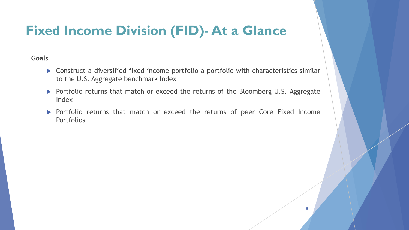### **Fixed Income Division (FID)- At a Glance**

#### **Goals**

- ▶ Construct a diversified fixed income portfolio a portfolio with characteristics similar to the U.S. Aggregate benchmark Index
- ▶ Portfolio returns that match or exceed the returns of the Bloomberg U.S. Aggregate Index
- **Portfolio returns that match or exceed the returns of peer Core Fixed Income** Portfolios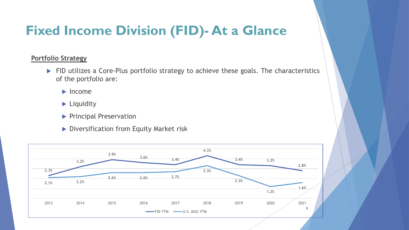### **Fixed Income Division (FID)- At a Glance**

#### **Portfolio Strategy**

- FID utilizes a Core-Plus portfolio strategy to achieve these goals. The characteristics of the portfolio are:
	- $\blacktriangleright$  Income
	- **Liquidity**
	- **Principal Preservation**
	- Diversification from Equity Market risk

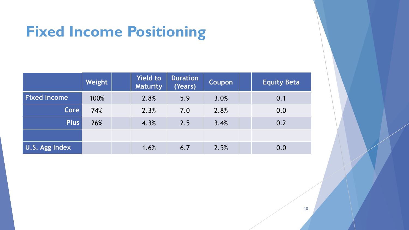# **Fixed Income Positioning**

|                     | Weight | <b>Yield to</b><br><b>Maturity</b> | <b>Duration</b><br>(Years) | <b>Coupon</b> | <b>Equity Beta</b> |
|---------------------|--------|------------------------------------|----------------------------|---------------|--------------------|
| <b>Fixed Income</b> | 100%   | 2.8%                               | 5.9                        | 3.0%          | 0.1                |
| <b>Core</b>         | 74%    | 2.3%                               | 7.0                        | 2.8%          | 0.0                |
| <b>Plus</b>         | 26%    | 4.3%                               | 2.5                        | 3.4%          | 0.2                |
|                     |        |                                    |                            |               |                    |
| U.S. Agg Index      |        | 1.6%                               | 6.7                        | 2.5%          | 0.0                |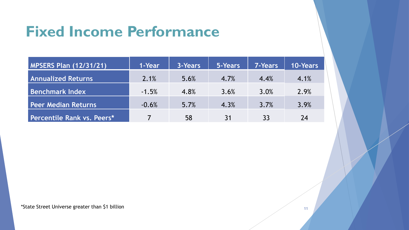## **Fixed Income Performance**

| <b>MPSERS Plan (12/31/21)</b> | 1-Year  | 3-Years | 5-Years | <b>7-Years</b> | <b>10-Years</b> |
|-------------------------------|---------|---------|---------|----------------|-----------------|
| <b>Annualized Returns</b>     | 2.1%    | 5.6%    | 4.7%    | 4.4%           | 4.1%            |
| <b>Benchmark Index</b>        | $-1.5%$ | 4.8%    | 3.6%    | 3.0%           | 2.9%            |
| <b>Peer Median Returns</b>    | $-0.6%$ | 5.7%    | 4.3%    | 3.7%           | 3.9%            |
| Percentile Rank vs. Peers*    |         | 58      | 31      | 33             | 24              |

\*State Street Universe greater than \$1 billion  $11$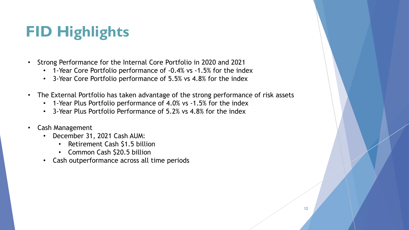# **FID Highlights**

- • Strong Performance for the Internal Core Portfolio in 2020 and 2021
	- 1-Year Core Portfolio performance of -0.4% vs -1.5% for the index
	- 3-Year Core Portfolio performance of 5.5% vs 4.8% for the index
- • The External Portfolio has taken advantage of the strong performance of risk assets
	- 1-Year Plus Portfolio performance of 4.0% vs -1.5% for the index
	- 3-Year Plus Portfolio Performance of 5.2% vs 4.8% for the index
- Cash Management
	- December 31, 2021 Cash AUM:
		- Retirement Cash \$1.5 billion
		- Common Cash \$20.5 billion
	- Cash outperformance across all time periods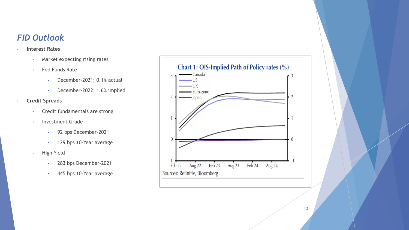### *FID Outlook*

#### • **Interest Rates**

- Market expecting rising rates
- Fed Funds Rate
	- December-2021; 0.1% actual
	- December-2022; 1.6% implied
- **Credit Spreads** 
	- Credit fundamentals are strong
	- Investment Grade
		- 92 bps December-2021
		- 129 bps 10-Year average
	- High Yield
		- 283 bps December-2021
		- 445 bps 10-Year average

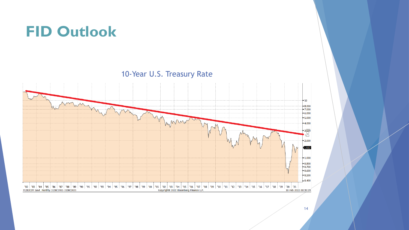### **FID Outlook**

10-Year U.S. Treasury Rate

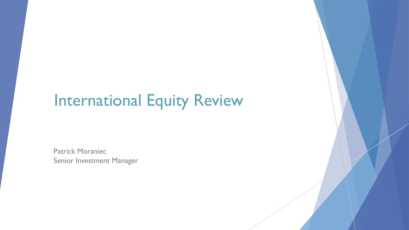# International Equity Review

Patrick Moraniec Senior Investment Manager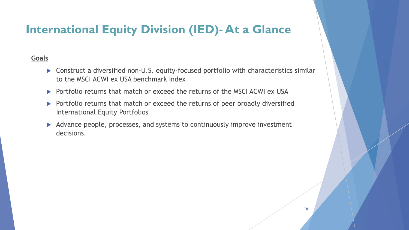### **International Equity Division (IED)- At a Glance**

#### **Goals**

- to the MSCI ACWI ex USA benchmark Index ▶ Construct a diversified non-U.S. equity-focused portfolio with characteristics similar
- Portfolio returns that match or exceed the returns of the MSCI ACWI ex USA
- Portfolio returns that match or exceed the returns of peer broadly diversified International Equity Portfolios
- Advance people, processes, and systems to continuously improve investment decisions.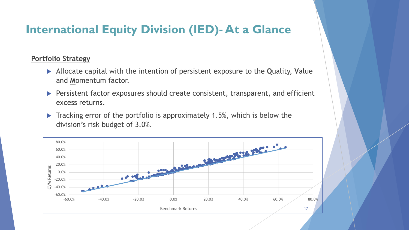### **International Equity Division (IED)- At a Glance**

#### **Portfolio Strategy**

- Allocate capital with the intention of persistent exposure to the **Q**uality, **V**alue and **M**omentum factor.
- **Persistent factor exposures should create consistent, transparent, and efficient** excess returns.
- Tracking error of the portfolio is approximately 1.5%, which is below the division's risk budget of 3.0%.

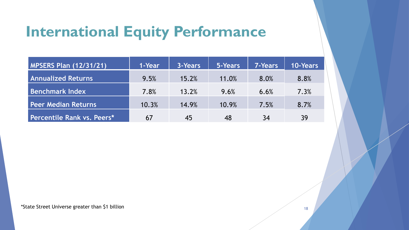## **International Equity Performance**

| <b>MPSERS Plan (12/31/21)</b> | 1-Year | 3-Years | 5-Years | <b>7-Years</b> | <b>10-Years</b> |
|-------------------------------|--------|---------|---------|----------------|-----------------|
| <b>Annualized Returns</b>     | 9.5%   | 15.2%   | 11.0%   | 8.0%           | 8.8%            |
| <b>Benchmark Index</b>        | 7.8%   | 13.2%   | 9.6%    | 6.6%           | 7.3%            |
| Peer Median Returns           | 10.3%  | 14.9%   | 10.9%   | 7.5%           | 8.7%            |
| Percentile Rank vs. Peers*    | 67     | 45      | 48      | 34             | 39              |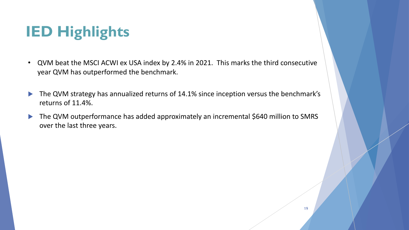# **IED Highlights**

- • QVM beat the MSCI ACWI ex USA index by 2.4% in 2021. This marks the third consecutive year QVM has outperformed the benchmark.
- The QVM strategy has annualized returns of 14.1% since inception versus the benchmark's returns of 11.4%.
- The QVM outperformance has added approximately an incremental \$640 million to SMRS over the last three years.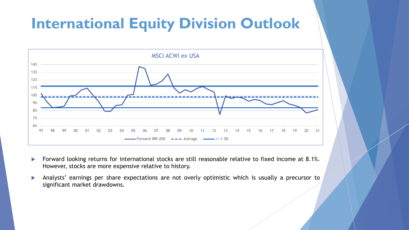### **International Equity Division Outlook**



- Forward looking returns for international stocks are still reasonable relative to fixed income at 8.1%. However, stocks are more expensive relative to history.
- Analysts' earnings per share expectations are not overly optimistic which is usually a precursor to significant market drawdowns.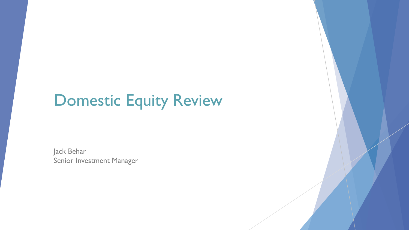# Domestic Equity Review

Jack Behar Senior Investment Manager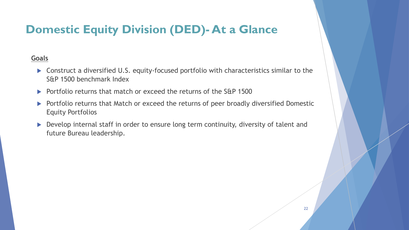### **Domestic Equity Division (DED)- At a Glance**

#### **Goals**

- Construct a diversified U.S. equity-focused portfolio with characteristics similar to the S&P 1500 benchmark Index
- Portfolio returns that match or exceed the returns of the S&P 1500
- **Portfolio returns that Match or exceed the returns of peer broadly diversified Domestic** Equity Portfolios
- Develop internal staff in order to ensure long term continuity, diversity of talent and future Bureau leadership.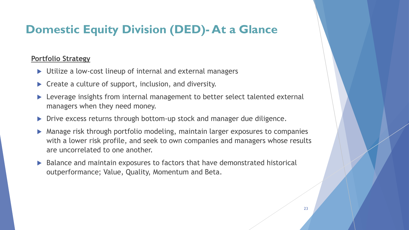### **Domestic Equity Division (DED)- At a Glance**

#### **Portfolio Strategy**

- ▶ Utilize a low-cost lineup of internal and external managers
- **Create a culture of support, inclusion, and diversity.**
- Leverage insights from internal management to better select talented external managers when they need money.
- ▶ Drive excess returns through bottom-up stock and manager due diligence.
- Manage risk through portfolio modeling, maintain larger exposures to companies with a lower risk profile, and seek to own companies and managers whose results are uncorrelated to one another.
- ▶ Balance and maintain exposures to factors that have demonstrated historical outperformance; Value, Quality, Momentum and Beta.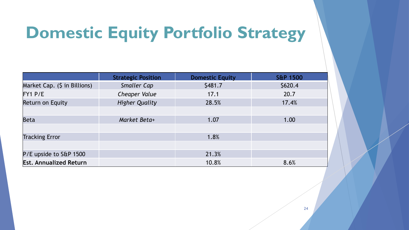# **Domestic Equity Portfolio Strategy**

|                               | <b>Strategic Position</b> | <b>Domestic Equity</b> | <b>S&amp;P 1500</b> |
|-------------------------------|---------------------------|------------------------|---------------------|
| Market Cap. (\$ in Billions)  | Smaller Cap               | \$481.7                | \$620.4             |
| FY1 P/E                       | Cheaper Value             | 17.1                   | 20.7                |
| <b>Return on Equity</b>       | <b>Higher Quality</b>     | 28.5%                  | 17.4%               |
|                               |                           |                        |                     |
| <b>Beta</b>                   | Market Beta+              | 1.07                   | 1.00                |
|                               |                           |                        |                     |
| <b>Tracking Error</b>         |                           | 1.8%                   |                     |
|                               |                           |                        |                     |
| P/E upside to S&P 1500        |                           | 21.3%                  |                     |
| <b>Est. Annualized Return</b> |                           | 10.8%                  | 8.6%                |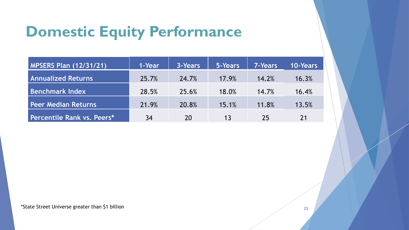# **Domestic Equity Performance**

| <b>MPSERS Plan (12/31/21)</b> | 1-Year | 3-Years | 5-Years | <b>7-Years</b> | <b>10-Years</b> |
|-------------------------------|--------|---------|---------|----------------|-----------------|
| <b>Annualized Returns</b>     | 25.7%  | 24.7%   | 17.9%   | 14.2%          | 16.3%           |
| <b>Benchmark Index</b>        | 28.5%  | 25.6%   | 18.0%   | 14.7%          | 16.4%           |
| <b>Peer Median Returns</b>    | 21.9%  | 20.8%   | 15.1%   | 11.8%          | 13.5%           |
| Percentile Rank vs. Peers*    | 34     | 20      | 13      | 25             | 21              |

\*State Street Universe greater than \$1 billion  $^{25}$